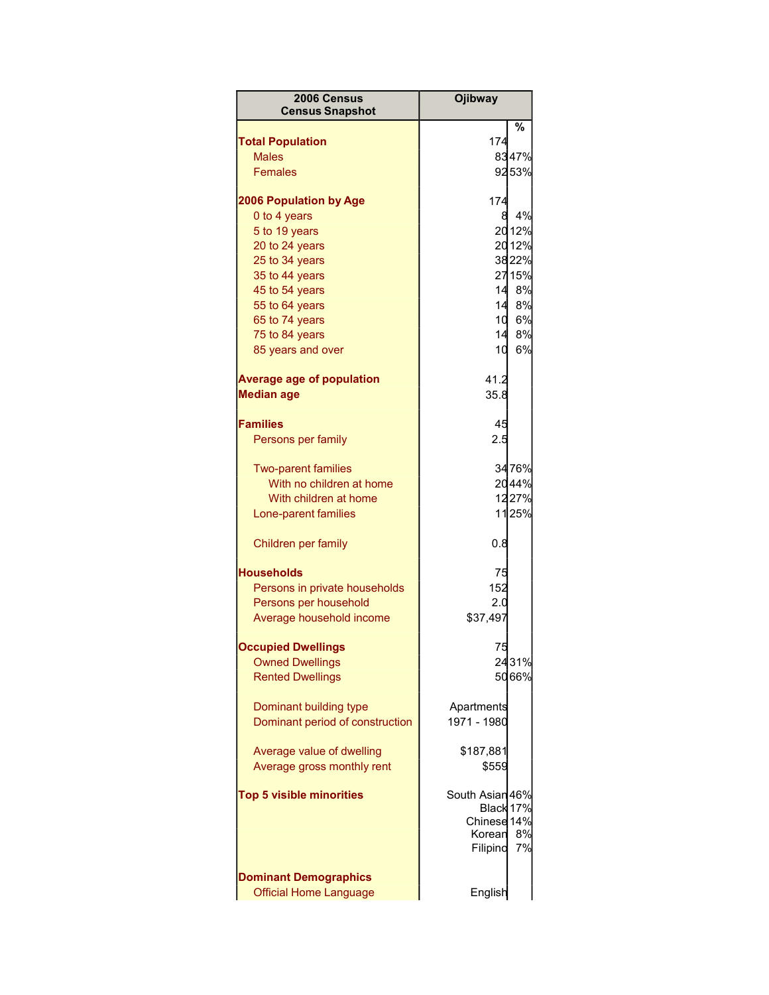| 2006 Census<br><b>Census Snapshot</b>                   | <b>Ojibway</b>     |          |
|---------------------------------------------------------|--------------------|----------|
|                                                         |                    | 多        |
| <b>Total Population</b>                                 | 174                |          |
| <b>Males</b>                                            |                    | 8347%    |
| Females                                                 |                    | 9253%    |
| <b>2006 Population by Age</b>                           | 174                |          |
| 0 to 4 years                                            | 8                  | 4%       |
| 5 to 19 years                                           |                    | 2012%    |
| 20 to 24 years                                          |                    | 2012%    |
| 25 to 34 years                                          |                    | 3822%    |
| 35 to 44 years                                          |                    | 2715%    |
| 45 to 54 years                                          |                    | 14 8%    |
| 55 to 64 years                                          | 14                 | 8%       |
| 65 to 74 years                                          | 10                 | 6%       |
| 75 to 84 years                                          | 14                 | 8%       |
| 85 years and over                                       | 10                 | 6%       |
| <b>Average age of population</b>                        | 41.2               |          |
| <b>Median age</b>                                       | 35.8               |          |
| <b>Families</b>                                         | 45                 |          |
| Persons per family                                      | 2.5                |          |
|                                                         |                    |          |
| <b>Two-parent families</b>                              |                    | 34 76%   |
| With no children at home                                |                    | 2044%    |
| With children at home                                   |                    | 1227%    |
| Lone-parent families                                    |                    | 1125%    |
| Children per family                                     | 0.8                |          |
| <b>Households</b>                                       | 75                 |          |
| Persons in private households                           | 152                |          |
| Persons per household                                   | 2.0                |          |
| Average household income                                | \$37,497           |          |
|                                                         |                    |          |
| <b>Occupied Dwellings</b><br><b>Owned Dwellings</b>     | 75                 | 2431%    |
| <b>Rented Dwellings</b>                                 |                    | 5066%    |
|                                                         |                    |          |
| Dominant building type                                  | Apartments         |          |
| Dominant period of construction                         | 1971 - 1980        |          |
|                                                         |                    |          |
| Average value of dwelling<br>Average gross monthly rent | \$187,881<br>\$559 |          |
|                                                         |                    |          |
| <b>Top 5 visible minorities</b>                         | South Asian 46%    |          |
|                                                         | Black 17%          |          |
|                                                         | Chinese 14%        |          |
|                                                         | Korean<br>Filipino | 8%<br>7% |
|                                                         |                    |          |
| <b>Dominant Demographics</b>                            |                    |          |
| <b>Official Home Language</b>                           | English            |          |